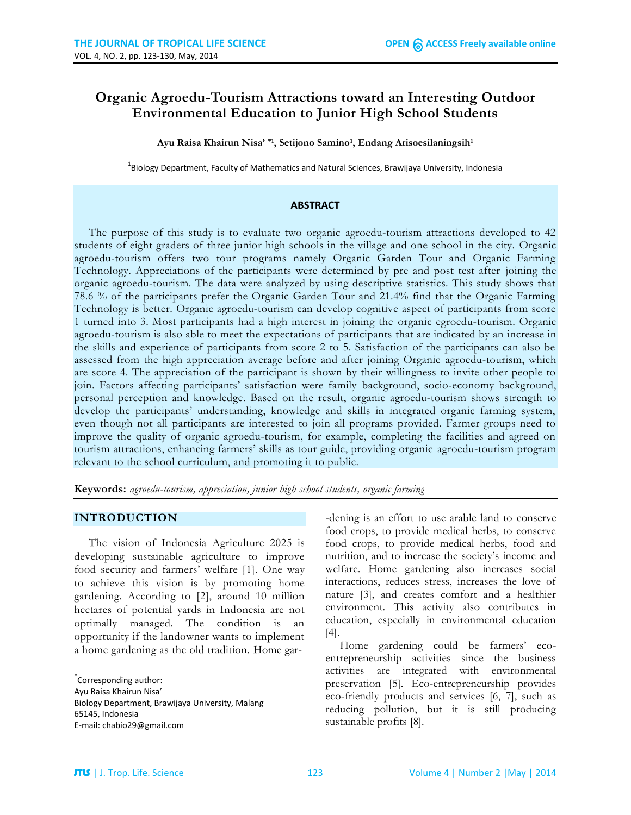# **Organic Agroedu-Tourism Attractions toward an Interesting Outdoor Environmental Education to Junior High School Students**

**Ayu Raisa Khairun Nisa' \*1, Setijono Samino<sup>1</sup> , Endang Arisoesilaningsih<sup>1</sup>**

 $^{1}$ Biology Department, Faculty of Mathematics and Natural Sciences, Brawijaya University, Indonesia

#### **ABSTRACT**

The purpose of this study is to evaluate two organic agroedu-tourism attractions developed to 42 students of eight graders of three junior high schools in the village and one school in the city. Organic agroedu-tourism offers two tour programs namely Organic Garden Tour and Organic Farming Technology. Appreciations of the participants were determined by pre and post test after joining the organic agroedu-tourism. The data were analyzed by using descriptive statistics. This study shows that 78.6 % of the participants prefer the Organic Garden Tour and 21.4% find that the Organic Farming Technology is better. Organic agroedu-tourism can develop cognitive aspect of participants from score 1 turned into 3. Most participants had a high interest in joining the organic egroedu-tourism. Organic agroedu-tourism is also able to meet the expectations of participants that are indicated by an increase in the skills and experience of participants from score 2 to 5. Satisfaction of the participants can also be assessed from the high appreciation average before and after joining Organic agroedu-tourism, which are score 4. The appreciation of the participant is shown by their willingness to invite other people to join. Factors affecting participants' satisfaction were family background, socio-economy background, personal perception and knowledge. Based on the result, organic agroedu-tourism shows strength to develop the participants' understanding, knowledge and skills in integrated organic farming system, even though not all participants are interested to join all programs provided. Farmer groups need to improve the quality of organic agroedu-tourism, for example, completing the facilities and agreed on tourism attractions, enhancing farmers' skills as tour guide, providing organic agroedu-tourism program relevant to the school curriculum, and promoting it to public.

**Keywords:** *agroedu-tourism, appreciation, junior high school students, organic farming*

#### **INTRODUCTION**

The vision of Indonesia Agriculture 2025 is developing sustainable agriculture to improve food security and farmers' welfare [1]. One way to achieve this vision is by promoting home gardening. According to [2], around 10 million hectares of potential yards in Indonesia are not optimally managed. The condition is an opportunity if the landowner wants to implement a home gardening as the old tradition. Home gar-

\* Corresponding author: Ayu Raisa Khairun Nisa' Biology Department, Brawijaya University, Malang 65145, Indonesia E-mail: chabio29@gmail.com

-dening is an effort to use arable land to conserve food crops, to provide medical herbs, to conserve food crops, to provide medical herbs, food and nutrition, and to increase the society's income and welfare. Home gardening also increases social interactions, reduces stress, increases the love of nature [3], and creates comfort and a healthier environment. This activity also contributes in education, especially in environmental education [4].

Home gardening could be farmers' ecoentrepreneurship activities since the business activities are integrated with environmental preservation [5]. Eco-entrepreneurship provides eco-friendly products and services [6, 7], such as reducing pollution, but it is still producing sustainable profits [8].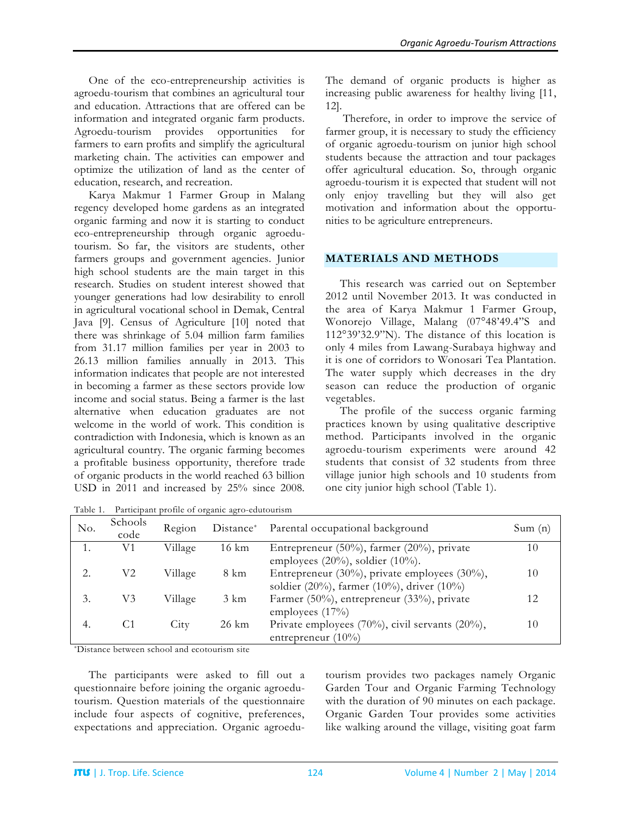One of the eco-entrepreneurship activities is agroedu-tourism that combines an agricultural tour and education. Attractions that are offered can be information and integrated organic farm products. Agroedu-tourism provides opportunities for farmers to earn profits and simplify the agricultural marketing chain. The activities can empower and optimize the utilization of land as the center of education, research, and recreation.

Karya Makmur 1 Farmer Group in Malang regency developed home gardens as an integrated organic farming and now it is starting to conduct eco-entrepreneurship through organic agroedutourism. So far, the visitors are students, other farmers groups and government agencies. Junior high school students are the main target in this research. Studies on student interest showed that younger generations had low desirability to enroll in agricultural vocational school in Demak, Central Java [9]. Census of Agriculture [10] noted that there was shrinkage of 5.04 million farm families from 31.17 million families per year in 2003 to 26.13 million families annually in 2013. This information indicates that people are not interested in becoming a farmer as these sectors provide low income and social status. Being a farmer is the last alternative when education graduates are not welcome in the world of work. This condition is contradiction with Indonesia, which is known as an agricultural country. The organic farming becomes a profitable business opportunity, therefore trade of organic products in the world reached 63 billion USD in 2011 and increased by 25% since 2008.

Table 1. Participant profile of organic agro-edutourism

The demand of organic products is higher as increasing public awareness for healthy living [11, 12].

Therefore, in order to improve the service of farmer group, it is necessary to study the efficiency of organic agroedu-tourism on junior high school students because the attraction and tour packages offer agricultural education. So, through organic agroedu-tourism it is expected that student will not only enjoy travelling but they will also get motivation and information about the opportunities to be agriculture entrepreneurs.

### **MATERIALS AND METHODS**

This research was carried out on September 2012 until November 2013. It was conducted in the area of Karya Makmur 1 Farmer Group, Wonorejo Village, Malang (07°48'49.4"S and 112°39'32.9"N). The distance of this location is only 4 miles from Lawang-Surabaya highway and it is one of corridors to Wonosari Tea Plantation. The water supply which decreases in the dry season can reduce the production of organic vegetables.

The profile of the success organic farming practices known by using qualitative descriptive method. Participants involved in the organic agroedu-tourism experiments were around 42 students that consist of 32 students from three village junior high schools and 10 students from one city junior high school (Table 1).

| No. | Schools<br>code | Region  |                | Distance* Parental occupational background                                                        | Sum(n) |
|-----|-----------------|---------|----------------|---------------------------------------------------------------------------------------------------|--------|
| 1.  | V1              | Village | 16 km          | Entrepreneur $(50\%)$ , farmer $(20\%)$ , private<br>employees $(20\%)$ , soldier $(10\%)$ .      | 10     |
|     | V2              | Village | 8 km           | Entrepreneur $(30\%)$ , private employees $(30\%)$ ,<br>soldier (20%), farmer (10%), driver (10%) | 10     |
| 3.  | V3              | Village | $3 \text{ km}$ | Farmer $(50\%)$ , entrepreneur $(33\%)$ , private<br>employees $(17%)$                            | 12     |
| 4.  | U.I             | City    | 26 km          | Private employees $(70\%)$ , civil servants $(20\%)$ ,<br>entrepreneur $(10\%)$                   | 10     |

\*Distance between school and ecotourism site

The participants were asked to fill out a questionnaire before joining the organic agroedutourism. Question materials of the questionnaire include four aspects of cognitive, preferences, expectations and appreciation. Organic agroedutourism provides two packages namely Organic Garden Tour and Organic Farming Technology with the duration of 90 minutes on each package. Organic Garden Tour provides some activities like walking around the village, visiting goat farm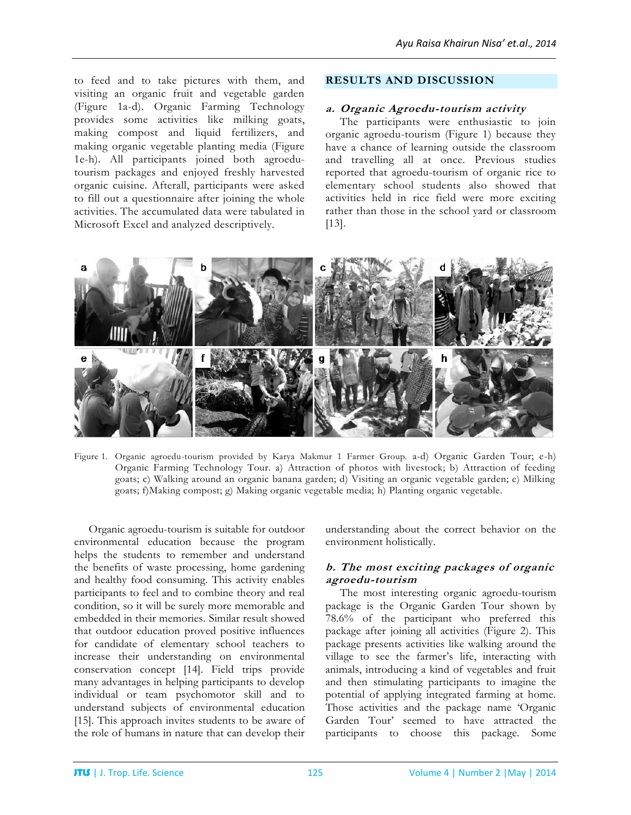to feed and to take pictures with them, and visiting an organic fruit and vegetable garden (Figure 1a-d). Organic Farming Technology provides some activities like milking goats, making compost and liquid fertilizers, and making organic vegetable planting media (Figure 1e-h). All participants joined both agroedutourism packages and enjoyed freshly harvested organic cuisine. Afterall, participants were asked to fill out a questionnaire after joining the whole activities. The accumulated data were tabulated in Microsoft Excel and analyzed descriptively.

### **RESULTS AND DISCUSSION**

#### **a. Organic Agroedu-tourism activity**

The participants were enthusiastic to join organic agroedu-tourism (Figure 1) because they have a chance of learning outside the classroom and travelling all at once. Previous studies reported that agroedu-tourism of organic rice to elementary school students also showed that activities held in rice field were more exciting rather than those in the school yard or classroom [13].



Figure 1. Organic agroedu-tourism provided by Karya Makmur 1 Farmer Group. a-d) Organic Garden Tour; e-h) Organic Farming Technology Tour. a) Attraction of photos with livestock; b) Attraction of feeding goats; c) Walking around an organic banana garden; d) Visiting an organic vegetable garden; e) Milking goats; f)Making compost; g) Making organic vegetable media; h) Planting organic vegetable.

Organic agroedu-tourism is suitable for outdoor environmental education because the program helps the students to remember and understand the benefits of waste processing, home gardening and healthy food consuming. This activity enables participants to feel and to combine theory and real condition, so it will be surely more memorable and embedded in their memories. Similar result showed that outdoor education proved positive influences for candidate of elementary school teachers to increase their understanding on environmental conservation concept [14]. Field trips provide many advantages in helping participants to develop individual or team psychomotor skill and to understand subjects of environmental education [15]. This approach invites students to be aware of the role of humans in nature that can develop their

understanding about the correct behavior on the environment holistically.

### **b. The most exciting packages of organic agroedu-tourism**

The most interesting organic agroedu-tourism package is the Organic Garden Tour shown by 78.6% of the participant who preferred this package after joining all activities (Figure 2). This package presents activities like walking around the village to see the farmer's life, interacting with animals, introducing a kind of vegetables and fruit and then stimulating participants to imagine the potential of applying integrated farming at home. Those activities and the package name 'Organic Garden Tour' seemed to have attracted the participants to choose this package. Some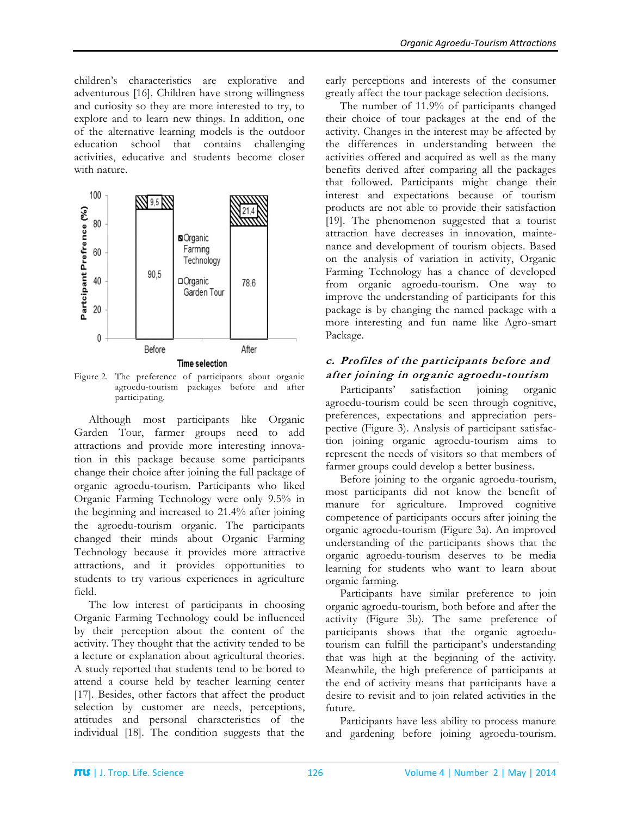children's characteristics are explorative and adventurous [16]. Children have strong willingness and curiosity so they are more interested to try, to explore and to learn new things. In addition, one of the alternative learning models is the outdoor education school that contains challenging activities, educative and students become closer with nature.



Figure 2. The preference of participants about organic agroedu-tourism packages before and after participating.

Although most participants like Organic Garden Tour, farmer groups need to add attractions and provide more interesting innovation in this package because some participants change their choice after joining the full package of organic agroedu-tourism. Participants who liked Organic Farming Technology were only 9.5% in the beginning and increased to 21.4% after joining the agroedu-tourism organic. The participants changed their minds about Organic Farming Technology because it provides more attractive attractions, and it provides opportunities to students to try various experiences in agriculture field.

The low interest of participants in choosing Organic Farming Technology could be influenced by their perception about the content of the activity. They thought that the activity tended to be a lecture or explanation about agricultural theories. A study reported that students tend to be bored to attend a course held by teacher learning center [17]. Besides, other factors that affect the product selection by customer are needs, perceptions, attitudes and personal characteristics of the individual [18]. The condition suggests that the

early perceptions and interests of the consumer greatly affect the tour package selection decisions.

The number of 11.9% of participants changed their choice of tour packages at the end of the activity. Changes in the interest may be affected by the differences in understanding between the activities offered and acquired as well as the many benefits derived after comparing all the packages that followed. Participants might change their interest and expectations because of tourism products are not able to provide their satisfaction [19]. The phenomenon suggested that a tourist attraction have decreases in innovation, maintenance and development of tourism objects. Based on the analysis of variation in activity, Organic Farming Technology has a chance of developed from organic agroedu-tourism. One way to improve the understanding of participants for this package is by changing the named package with a more interesting and fun name like Agro-smart Package.

# **c. Profiles of the participants before and after joining in organic agroedu-tourism**

Participants' satisfaction joining organic agroedu-tourism could be seen through cognitive, preferences, expectations and appreciation perspective (Figure 3). Analysis of participant satisfaction joining organic agroedu-tourism aims to represent the needs of visitors so that members of farmer groups could develop a better business.

Before joining to the organic agroedu-tourism, most participants did not know the benefit of manure for agriculture. Improved cognitive competence of participants occurs after joining the organic agroedu-tourism (Figure 3a). An improved understanding of the participants shows that the organic agroedu-tourism deserves to be media learning for students who want to learn about organic farming.

Participants have similar preference to join organic agroedu-tourism, both before and after the activity (Figure 3b). The same preference of participants shows that the organic agroedutourism can fulfill the participant's understanding that was high at the beginning of the activity. Meanwhile, the high preference of participants at the end of activity means that participants have a desire to revisit and to join related activities in the future.

Participants have less ability to process manure and gardening before joining agroedu-tourism.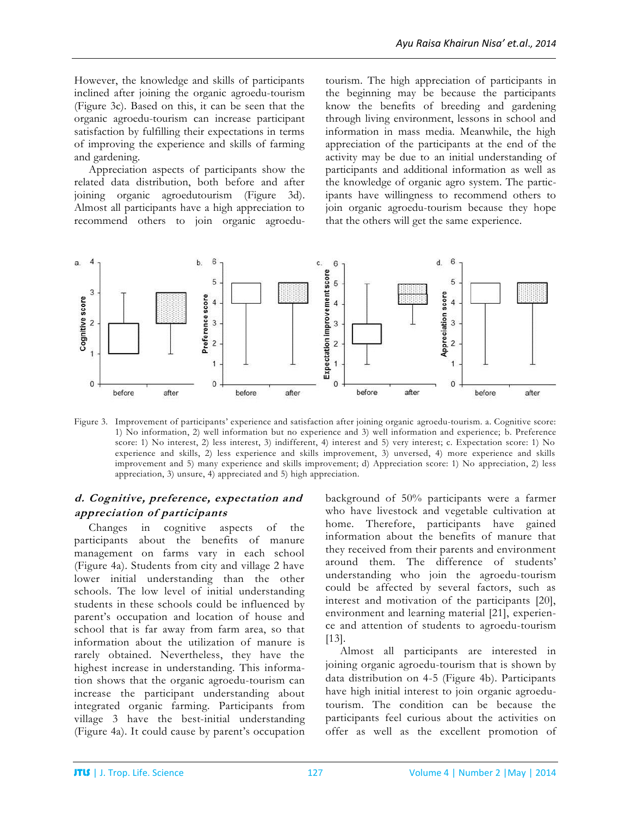However, the knowledge and skills of participants inclined after joining the organic agroedu-tourism (Figure 3c). Based on this, it can be seen that the organic agroedu-tourism can increase participant satisfaction by fulfilling their expectations in terms of improving the experience and skills of farming and gardening.

Appreciation aspects of participants show the related data distribution, both before and after joining organic agroedutourism (Figure 3d). Almost all participants have a high appreciation to recommend others to join organic agroedutourism. The high appreciation of participants in the beginning may be because the participants know the benefits of breeding and gardening through living environment, lessons in school and information in mass media. Meanwhile, the high appreciation of the participants at the end of the activity may be due to an initial understanding of participants and additional information as well as the knowledge of organic agro system. The participants have willingness to recommend others to join organic agroedu-tourism because they hope that the others will get the same experience.



Figure 3. Improvement of participants' experience and satisfaction after joining organic agroedu-tourism. a. Cognitive score: 1) No information, 2) well information but no experience and 3) well information and experience; b. Preference score: 1) No interest, 2) less interest, 3) indifferent, 4) interest and 5) very interest; c. Expectation score: 1) No experience and skills, 2) less experience and skills improvement, 3) unversed, 4) more experience and skills improvement and 5) many experience and skills improvement; d) Appreciation score: 1) No appreciation, 2) less appreciation, 3) unsure, 4) appreciated and 5) high appreciation.

# **d. Cognitive, preference, expectation and appreciation of participants**

Changes in cognitive aspects of the participants about the benefits of manure management on farms vary in each school (Figure 4a). Students from city and village 2 have lower initial understanding than the other schools. The low level of initial understanding students in these schools could be influenced by parent's occupation and location of house and school that is far away from farm area, so that information about the utilization of manure is rarely obtained. Nevertheless, they have the highest increase in understanding. This information shows that the organic agroedu-tourism can increase the participant understanding about integrated organic farming. Participants from village 3 have the best-initial understanding (Figure 4a). It could cause by parent's occupation background of 50% participants were a farmer who have livestock and vegetable cultivation at home. Therefore, participants have gained information about the benefits of manure that they received from their parents and environment around them. The difference of students' understanding who join the agroedu-tourism could be affected by several factors, such as interest and motivation of the participants [20], environment and learning material [21], experience and attention of students to agroedu-tourism [13].

Almost all participants are interested in joining organic agroedu-tourism that is shown by data distribution on 4-5 (Figure 4b). Participants have high initial interest to join organic agroedutourism. The condition can be because the participants feel curious about the activities on offer as well as the excellent promotion of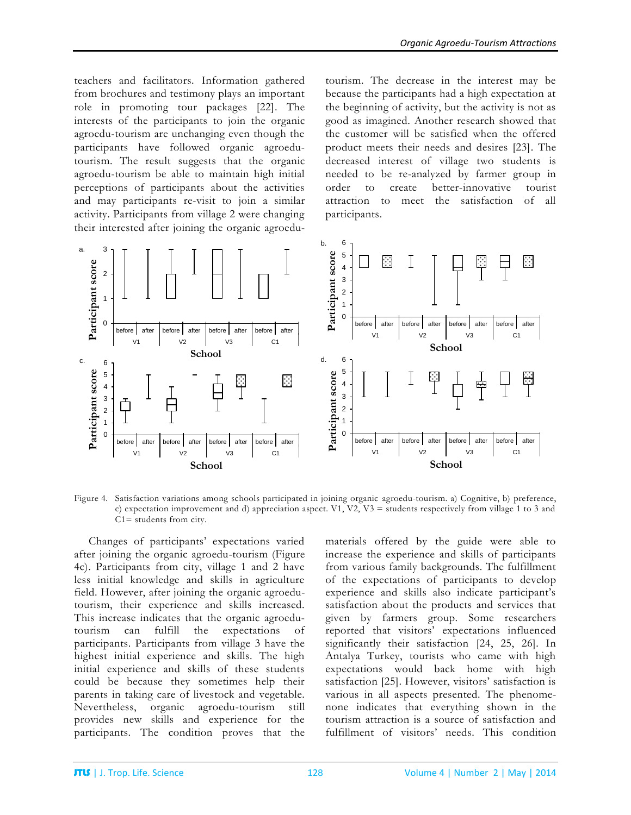teachers and facilitators. Information gathered from brochures and testimony plays an important role in promoting tour packages [22]. The interests of the participants to join the organic agroedu-tourism are unchanging even though the participants have followed organic agroedutourism. The result suggests that the organic agroedu-tourism be able to maintain high initial perceptions of participants about the activities and may participants re-visit to join a similar activity. Participants from village 2 were changing their interested after joining the organic agroedutourism. The decrease in the interest may be because the participants had a high expectation at the beginning of activity, but the activity is not as good as imagined. Another research showed that the customer will be satisfied when the offered product meets their needs and desires [23]. The decreased interest of village two students is needed to be re-analyzed by farmer group in order to create better-innovative tourist attraction to meet the satisfaction of all participants.



Figure 4. Satisfaction variations among schools participated in joining organic agroedu-tourism. a) Cognitive, b) preference, c) expectation improvement and d) appreciation aspect. V1, V2, V3 = students respectively from village 1 to 3 and C1= students from city.

Changes of participants' expectations varied after joining the organic agroedu-tourism (Figure 4c). Participants from city, village 1 and 2 have less initial knowledge and skills in agriculture field. However, after joining the organic agroedutourism, their experience and skills increased. This increase indicates that the organic agroedutourism can fulfill the expectations of participants. Participants from village 3 have the highest initial experience and skills. The high initial experience and skills of these students could be because they sometimes help their parents in taking care of livestock and vegetable. Nevertheless, organic agroedu-tourism still provides new skills and experience for the participants. The condition proves that the materials offered by the guide were able to increase the experience and skills of participants from various family backgrounds. The fulfillment of the expectations of participants to develop experience and skills also indicate participant's satisfaction about the products and services that given by farmers group. Some researchers reported that visitors' expectations influenced significantly their satisfaction [24, 25, 26]. In Antalya Turkey, tourists who came with high expectations would back home with high satisfaction [25]. However, visitors' satisfaction is various in all aspects presented. The phenomenone indicates that everything shown in the tourism attraction is a source of satisfaction and fulfillment of visitors' needs. This condition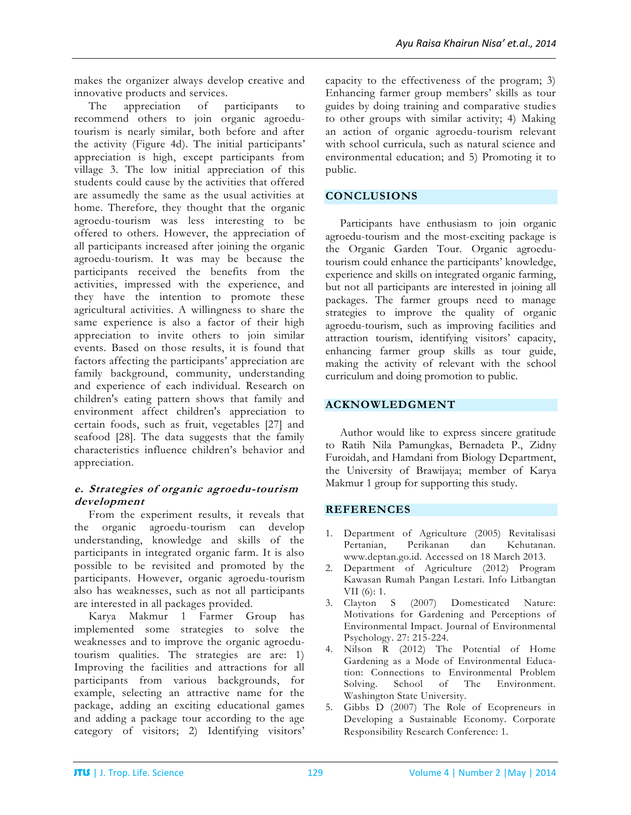makes the organizer always develop creative and innovative products and services.

The appreciation of participants to recommend others to join organic agroedutourism is nearly similar, both before and after the activity (Figure 4d). The initial participants' appreciation is high, except participants from village 3. The low initial appreciation of this students could cause by the activities that offered are assumedly the same as the usual activities at home. Therefore, they thought that the organic agroedu-tourism was less interesting to be offered to others. However, the appreciation of all participants increased after joining the organic agroedu-tourism. It was may be because the participants received the benefits from the activities, impressed with the experience, and they have the intention to promote these agricultural activities. A willingness to share the same experience is also a factor of their high appreciation to invite others to join similar events. Based on those results, it is found that factors affecting the participants' appreciation are family background, community, understanding and experience of each individual. Research on children's eating pattern shows that family and environment affect children's appreciation to certain foods, such as fruit, vegetables [27] and seafood [28]. The data suggests that the family characteristics influence children's behavior and appreciation.

### **e. Strategies of organic agroedu-tourism development**

From the experiment results, it reveals that the organic agroedu-tourism can develop understanding, knowledge and skills of the participants in integrated organic farm. It is also possible to be revisited and promoted by the participants. However, organic agroedu-tourism also has weaknesses, such as not all participants are interested in all packages provided.

Karya Makmur 1 Farmer Group has implemented some strategies to solve the weaknesses and to improve the organic agroedutourism qualities. The strategies are are: 1) Improving the facilities and attractions for all participants from various backgrounds, for example, selecting an attractive name for the package, adding an exciting educational games and adding a package tour according to the age category of visitors; 2) Identifying visitors'

capacity to the effectiveness of the program; 3) Enhancing farmer group members' skills as tour guides by doing training and comparative studies to other groups with similar activity; 4) Making an action of organic agroedu-tourism relevant with school curricula, such as natural science and environmental education; and 5) Promoting it to public.

# **CONCLUSIONS**

Participants have enthusiasm to join organic agroedu-tourism and the most-exciting package is the Organic Garden Tour. Organic agroedutourism could enhance the participants' knowledge, experience and skills on integrated organic farming, but not all participants are interested in joining all packages. The farmer groups need to manage strategies to improve the quality of organic agroedu-tourism, such as improving facilities and attraction tourism, identifying visitors' capacity, enhancing farmer group skills as tour guide, making the activity of relevant with the school curriculum and doing promotion to public.

## **ACKNOWLEDGMENT**

Author would like to express sincere gratitude to Ratih Nila Pamungkas, Bernadeta P., Zidny Furoidah, and Hamdani from Biology Department, the University of Brawijaya; member of Karya Makmur 1 group for supporting this study.

## **REFERENCES**

- 1. Department of Agriculture (2005) Revitalisasi<br>Pertanian, Perikanan dan Kehutanan. dan Kehutanan. www.deptan.go.id. Accessed on 18 March 2013.
- 2. Department of Agriculture (2012) Program Kawasan Rumah Pangan Lestari. Info Litbangtan VII (6): 1.
- 3. Clayton S (2007) Domesticated Nature: Motivations for Gardening and Perceptions of Environmental Impact. Journal of Environmental Psychology. 27: 215-224.
- 4. Nilson R (2012) The Potential of Home Gardening as a Mode of Environmental Education: Connections to Environmental Problem Solving. School of The Environment. Washington State University.
- 5. Gibbs D (2007) The Role of Ecopreneurs in Developing a Sustainable Economy. Corporate Responsibility Research Conference: 1.